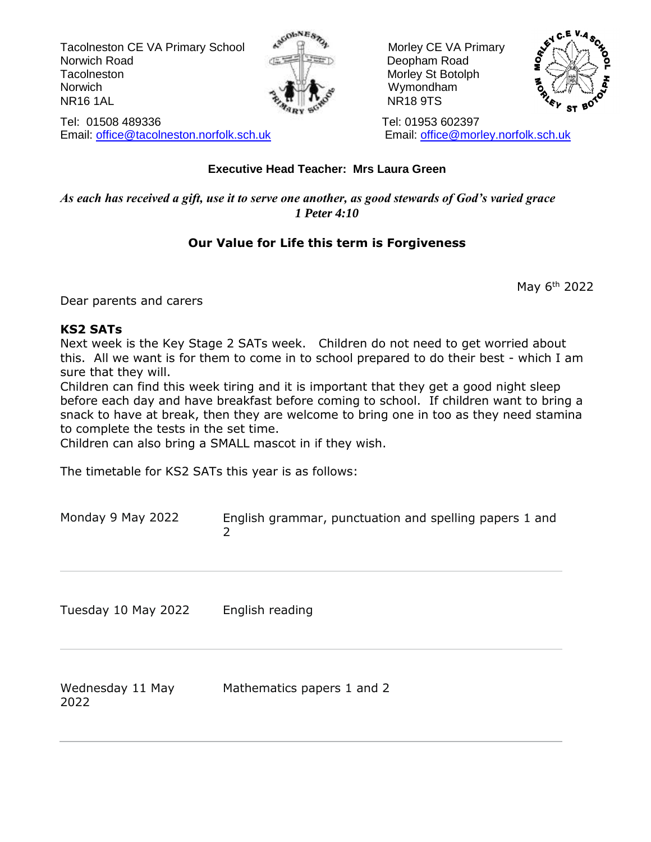Tacolneston CE VA Primary School  $\mathbb{R}^{\mathbb{N}}$   $\mathbb{R}^{\mathbb{N}}$  Morley CE VA Primary Norwich Road **Deopham Road Deopham Road** Tacolneston Morley St Botolph Norwich Norwich **Wymondham** NR16 1AL مَعْهَدٍ الْمَجَّةُ الْمَجْهَدِ الْمَجْهَدِ الْمَجْهَدِ الْمَجْهَدِ الْمَجْهَدِ الْمَجْهَدِ الْمَجْهَ





Tel: 01508 489336 Tel: 01953 602397 Email: [office@tacolneston.norfolk.sch.uk](mailto:office@tacolneston.norfolk.sch.uk) Email: [office@morley.norfolk.sch.uk](mailto:office@morley.norfolk.sch.uk) 

## **Executive Head Teacher: Mrs Laura Green**

*As each has received a gift, use it to serve one another, as good stewards of God's varied grace 1 Peter 4:10*

## **Our Value for Life this term is Forgiveness**

May 6th 2022

Dear parents and carers

#### **KS2 SATs**

Next week is the Key Stage 2 SATs week. Children do not need to get worried about this. All we want is for them to come in to school prepared to do their best - which I am sure that they will.

Children can find this week tiring and it is important that they get a good night sleep before each day and have breakfast before coming to school. If children want to bring a snack to have at break, then they are welcome to bring one in too as they need stamina to complete the tests in the set time.

Children can also bring a SMALL mascot in if they wish.

The timetable for KS2 SATs this year is as follows:

| Monday 9 May 2022        | English grammar, punctuation and spelling papers 1 and<br>$\overline{2}$ |
|--------------------------|--------------------------------------------------------------------------|
| Tuesday 10 May 2022      | English reading                                                          |
| Wednesday 11 May<br>2022 | Mathematics papers 1 and 2                                               |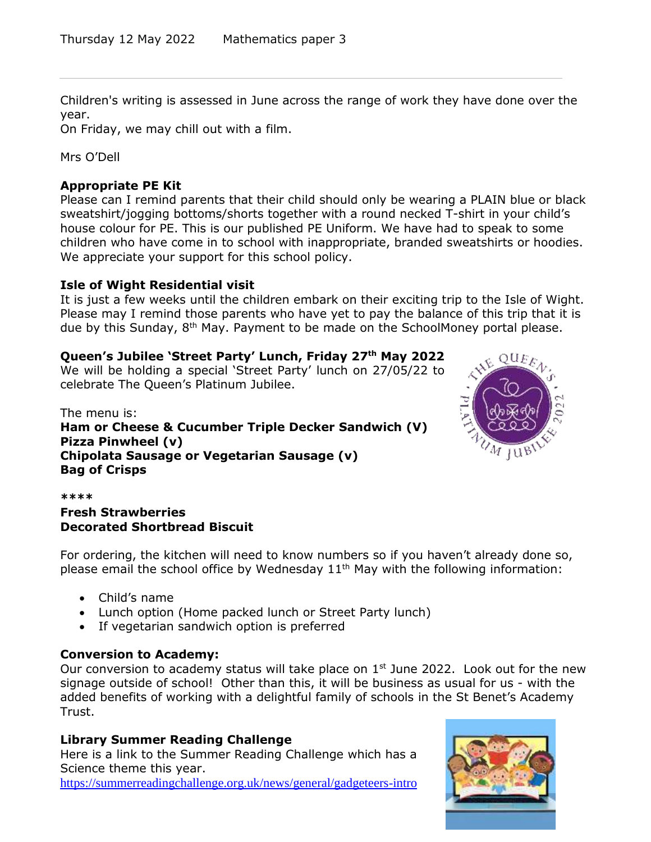Children's writing is assessed in June across the range of work they have done over the year.

On Friday, we may chill out with a film.

Mrs O'Dell

#### **Appropriate PE Kit**

Please can I remind parents that their child should only be wearing a PLAIN blue or black sweatshirt/jogging bottoms/shorts together with a round necked T-shirt in your child's house colour for PE. This is our published PE Uniform. We have had to speak to some children who have come in to school with inappropriate, branded sweatshirts or hoodies. We appreciate your support for this school policy.

#### **Isle of Wight Residential visit**

It is just a few weeks until the children embark on their exciting trip to the Isle of Wight. Please may I remind those parents who have yet to pay the balance of this trip that it is due by this Sunday, 8<sup>th</sup> May. Payment to be made on the SchoolMoney portal please.

#### **Queen's Jubilee 'Street Party' Lunch, Friday 27th May 2022**

We will be holding a special 'Street Party' lunch on 27/05/22 to celebrate The Queen's Platinum Jubilee.

The menu is: **Ham or Cheese & Cucumber Triple Decker Sandwich (V) Pizza Pinwheel (v) Chipolata Sausage or Vegetarian Sausage (v) Bag of Crisps**



#### **\*\*\*\***

#### **Fresh Strawberries Decorated Shortbread Biscuit**

For ordering, the kitchen will need to know numbers so if you haven't already done so, please email the school office by Wednesday  $11<sup>th</sup>$  May with the following information:

- Child's name
- Lunch option (Home packed lunch or Street Party lunch)
- If vegetarian sandwich option is preferred

#### **Conversion to Academy:**

Our conversion to academy status will take place on  $1<sup>st</sup>$  June 2022. Look out for the new signage outside of school! Other than this, it will be business as usual for us - with the added benefits of working with a delightful family of schools in the St Benet's Academy Trust.

#### **Library Summer Reading Challenge**

Here is a link to the Summer Reading Challenge which has a Science theme this year.

<https://summerreadingchallenge.org.uk/news/general/gadgeteers-intro>

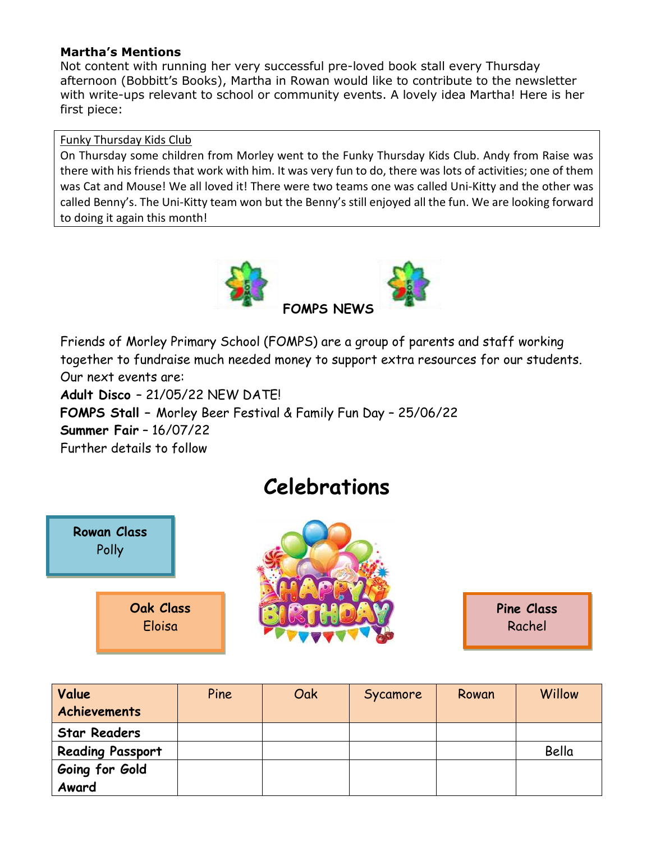#### **Martha's Mentions**

Not content with running her very successful pre-loved book stall every Thursday afternoon (Bobbitt's Books), Martha in Rowan would like to contribute to the newsletter with write-ups relevant to school or community events. A lovely idea Martha! Here is her first piece:

#### Funky Thursday Kids Club

On Thursday some children from Morley went to the Funky Thursday Kids Club. Andy from Raise was there with his friends that work with him. It was very fun to do, there was lots of activities; one of them was Cat and Mouse! We all loved it! There were two teams one was called Uni-Kitty and the other was called Benny's. The Uni-Kitty team won but the Benny's still enjoyed all the fun. We are looking forward to doing it again this month!



Friends of Morley Primary School (FOMPS) are a group of parents and staff working together to fundraise much needed money to support extra resources for our students. Our next events are:

**Adult Disco** – 21/05/22 NEW DATE! **FOMPS Stall –** Morley Beer Festival & Family Fun Day – 25/06/22 **Summer Fair** – 16/07/22 Further details to follow





**Celebrations**

**Pine Class** Rachel

| Value<br><b>Achievements</b> | Pine | Oak | Sycamore | Rowan | Willow |
|------------------------------|------|-----|----------|-------|--------|
| <b>Star Readers</b>          |      |     |          |       |        |
| <b>Reading Passport</b>      |      |     |          |       | Bella  |
| Going for Gold               |      |     |          |       |        |
| Award                        |      |     |          |       |        |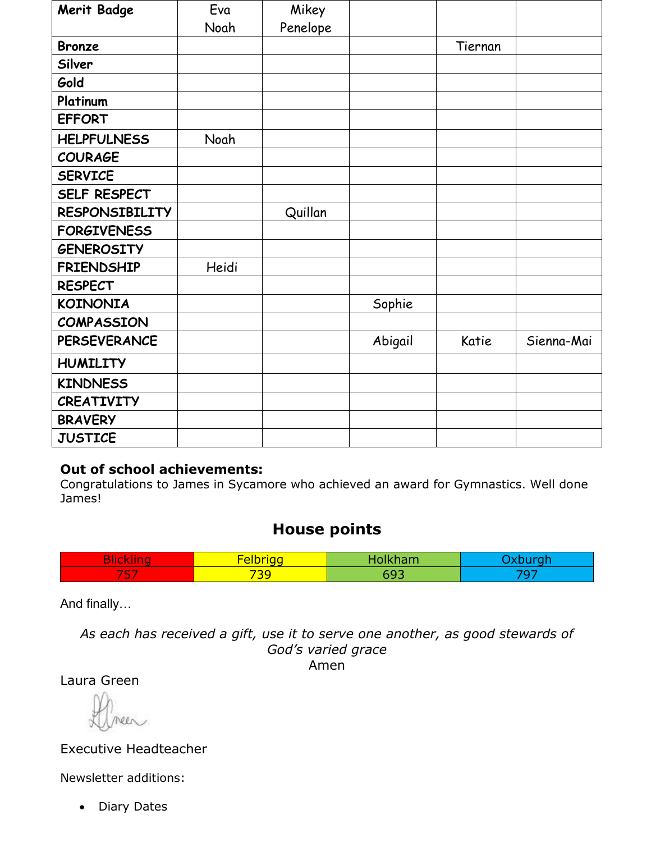| <b>Merit Badge</b>    | Eva   | Mikey    |         |         |            |
|-----------------------|-------|----------|---------|---------|------------|
|                       | Noah  | Penelope |         |         |            |
| <b>Bronze</b>         |       |          |         | Tiernan |            |
| Silver                |       |          |         |         |            |
| Gold                  |       |          |         |         |            |
| Platinum              |       |          |         |         |            |
| <b>EFFORT</b>         |       |          |         |         |            |
| <b>HELPFULNESS</b>    | Noah  |          |         |         |            |
| <b>COURAGE</b>        |       |          |         |         |            |
| <b>SERVICE</b>        |       |          |         |         |            |
| SELF RESPECT          |       |          |         |         |            |
| <b>RESPONSIBILITY</b> |       | Quillan  |         |         |            |
| <b>FORGIVENESS</b>    |       |          |         |         |            |
| <b>GENEROSITY</b>     |       |          |         |         |            |
| <b>FRIENDSHIP</b>     | Heidi |          |         |         |            |
| <b>RESPECT</b>        |       |          |         |         |            |
| <b>KOINONIA</b>       |       |          | Sophie  |         |            |
| <b>COMPASSION</b>     |       |          |         |         |            |
| <b>PERSEVERANCE</b>   |       |          | Abigail | Katie   | Sienna-Mai |
| <b>HUMILITY</b>       |       |          |         |         |            |
| <b>KINDNESS</b>       |       |          |         |         |            |
| <b>CREATIVITY</b>     |       |          |         |         |            |
| <b>BRAVERY</b>        |       |          |         |         |            |
| <b>JUSTICE</b>        |       |          |         |         |            |

## **Out of school achievements:**

Congratulations to James in Sycamore who achieved an award for Gymnastics. Well done James!

# **House points**

|             | <b>STATISTICS</b><br>-- |  |
|-------------|-------------------------|--|
| œ<br>$\sim$ | 726<br><u>. .</u>       |  |

And finally…

*As each has received a gift, use it to serve one another, as good stewards of God's varied grace* Amen

Laura Green

Executive Headteacher

Newsletter additions:

• Diary Dates